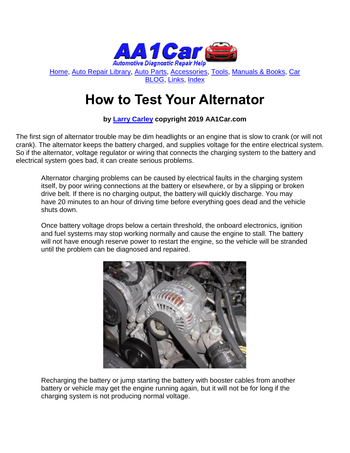

[Home,](http://www.aa1car.com/) [Auto Repair Library,](http://www.aa1car.com/library.htm) [Auto Parts,](http://www.aa1car.com/links_parts.htm) [Accessories,](http://www.aa1car.com/links_accessories.htm) [Tools,](http://www.aa1car.com/links_tools.htm) [Manuals & Books,](http://www.aa1car.com/links_books.htm) [Car](http://www.aa1car.com/blog/blog.htm)  [BLOG,](http://www.aa1car.com/blog/blog.htm) [Links,](http://www.aa1car.com/links.htm) [Index](http://www.aa1car.com/index_alphabetical.htm)

# **How to Test Your Alternator**

## **by [Larry Carley](https://www.aa1car.com/larrypage/larrycarley_photos.htm) copyright 2019 AA1Car.com**

The first sign of alternator trouble may be dim headlights or an engine that is slow to crank (or will not crank). The alternator keeps the battery charged, and supplies voltage for the entire electrical system. So if the alternator, voltage regulator or wiring that connects the charging system to the battery and electrical system goes bad, it can create serious problems.

Alternator charging problems can be caused by electrical faults in the charging system itself, by poor wiring connections at the battery or elsewhere, or by a slipping or broken drive belt. If there is no charging output, the battery will quickly discharge. You may have 20 minutes to an hour of driving time before everything goes dead and the vehicle shuts down.

Once battery voltage drops below a certain threshold, the onboard electronics, ignition and fuel systems may stop working normally and cause the engine to stall. The battery will not have enough reserve power to restart the engine, so the vehicle will be stranded until the problem can be diagnosed and repaired.



Recharging the battery or jump starting the battery with booster cables from another battery or vehicle may get the engine running again, but it will not be for long if the charging system is not producing normal voltage.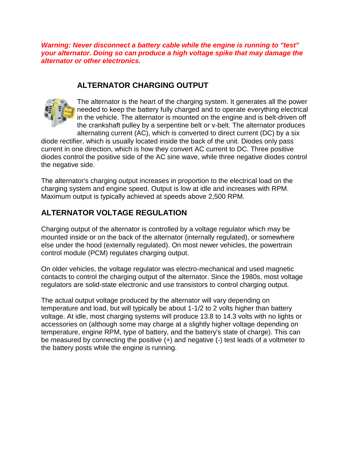*Warning: Never disconnect a battery cable while the engine is running to "test" your alternator. Doing so can produce a high voltage spike that may damage the alternator or other electronics.*

## **ALTERNATOR CHARGING OUTPUT**



The alternator is the heart of the charging system. It generates all the power needed to keep the battery fully charged and to operate everything electrical in the vehicle. The alternator is mounted on the engine and is belt-driven off the crankshaft pulley by a serpentine belt or v-belt. The alternator produces alternating current (AC), which is converted to direct current (DC) by a six

diode rectifier, which is usually located inside the back of the unit. Diodes only pass current in one direction, which is how they convert AC current to DC. Three positive diodes control the positive side of the AC sine wave, while three negative diodes control the negative side.

The alternator's charging output increases in proportion to the electrical load on the charging system and engine speed. Output is low at idle and increases with RPM. Maximum output is typically achieved at speeds above 2,500 RPM.

## **ALTERNATOR VOLTAGE REGULATION**

Charging output of the alternator is controlled by a voltage regulator which may be mounted inside or on the back of the alternator (internally regulated), or somewhere else under the hood (externally regulated). On most newer vehicles, the powertrain control module (PCM) regulates charging output.

On older vehicles, the voltage regulator was electro-mechanical and used magnetic contacts to control the charging output of the alternator. Since the 1980s, most voltage regulators are solid-state electronic and use transistors to control charging output.

The actual output voltage produced by the alternator will vary depending on temperature and load, but will typically be about 1-1/2 to 2 volts higher than battery voltage. At idle, most charging systems will produce 13.8 to 14.3 volts with no lights or accessories on (although some may charge at a slightly higher voltage depending on temperature, engine RPM, type of battery, and the battery's state of charge). This can be measured by connecting the positive (+) and negative (-) test leads of a voltmeter to the battery posts while the engine is running.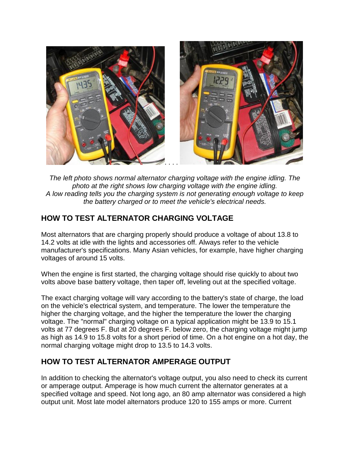

*The left photo shows normal alternator charging voltage with the engine idling. The photo at the right shows low charging voltage with the engine idling. A low reading tells you the charging system is not generating enough voltage to keep the battery charged or to meet the vehicle's electrical needs.*

## **HOW TO TEST ALTERNATOR CHARGING VOLTAGE**

Most alternators that are charging properly should produce a voltage of about 13.8 to 14.2 volts at idle with the lights and accessories off. Always refer to the vehicle manufacturer's specifications. Many Asian vehicles, for example, have higher charging voltages of around 15 volts.

When the engine is first started, the charging voltage should rise quickly to about two volts above base battery voltage, then taper off, leveling out at the specified voltage.

The exact charging voltage will vary according to the battery's state of charge, the load on the vehicle's electrical system, and temperature. The lower the temperature the higher the charging voltage, and the higher the temperature the lower the charging voltage. The "normal" charging voltage on a typical application might be 13.9 to 15.1 volts at 77 degrees F. But at 20 degrees F. below zero, the charging voltage might jump as high as 14.9 to 15.8 volts for a short period of time. On a hot engine on a hot day, the normal charging voltage might drop to 13.5 to 14.3 volts.

## **HOW TO TEST ALTERNATOR AMPERAGE OUTPUT**

In addition to checking the alternator's voltage output, you also need to check its current or amperage output. Amperage is how much current the alternator generates at a specified voltage and speed. Not long ago, an 80 amp alternator was considered a high output unit. Most late model alternators produce 120 to 155 amps or more. Current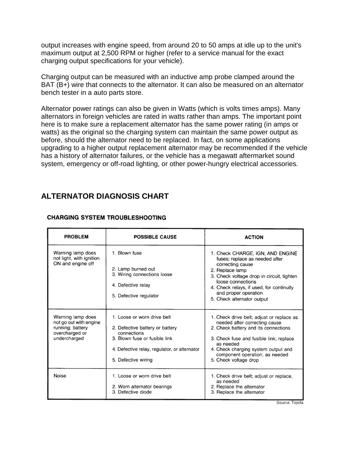output increases with engine speed, from around 20 to 50 amps at idle up to the unit's maximum output at 2,500 RPM or higher (refer to a service manual for the exact charging output specifications for your vehicle).

Charging output can be measured with an inductive amp probe clamped around the BAT (B+) wire that connects to the alternator. It can also be measured on an alternator bench tester in a auto parts store.

Alternator power ratings can also be given in Watts (which is volts times amps). Many alternators in foreign vehicles are rated in watts rather than amps. The important point here is to make sure a replacement alternator has the same power rating (in amps or watts) as the original so the charging system can maintain the same power output as before, should the alternator need to be replaced. In fact, on some applications upgrading to a higher output replacement alternator may be recommended if the vehicle has a history of alternator failures, or the vehicle has a megawatt aftermarket sound system, emergency or off-road lighting, or other power-hungry electrical accessories.

## **ALTERNATOR DIAGNOSIS CHART**

| <b>PROBLEM</b>                                                                                    | <b>POSSIBLE CAUSE</b>                                                                                                                                                                 | <b>ACTION</b>                                                                                                                                                                                                                                                                 |
|---------------------------------------------------------------------------------------------------|---------------------------------------------------------------------------------------------------------------------------------------------------------------------------------------|-------------------------------------------------------------------------------------------------------------------------------------------------------------------------------------------------------------------------------------------------------------------------------|
| Warning lamp does<br>not light, with ignition<br>ON and engine off                                | 1. Blown fuse<br>2. Lamp burned out<br>3. Wiring connections loose<br>4. Defective relay<br>5. Defective regulator                                                                    | 1. Check CHARGE, IGN, AND ENGINE<br>fuses; replace as needed after<br>correcting cause<br>2. Replace lamp<br>3. Check voltage drop in circuit, tighten<br>loose connections<br>4. Check relays, if used, for continuity<br>and proper operation<br>5. Check alternator output |
| Warning lamp does<br>not go out with engine<br>running; battery<br>overcharged or<br>undercharged | 1. Loose or worn drive belt<br>2. Defective battery or battery<br>connections<br>3. Blown fuse or fusible link<br>4. Defective relay, regulator, or alternator<br>5. Defective wiring | 1. Check drive belt; adjust or replace as<br>needed after correcting cause<br>2. Check battery and its connections<br>3. Check fuse and fusible link; replace<br>as needed<br>4. Check charging system output and<br>component operation, as needed<br>5. Check voltage drop  |
| Noise                                                                                             | 1. Loose or worn drive belt<br>2. Worn alternator bearings<br>3. Defective diode                                                                                                      | 1. Check drive belt; adjust or replace,<br>as needed<br>2. Replace the alternator<br>3. Replace the alternator                                                                                                                                                                |

#### **CHARGING SYSTEM TROUBLESHOOTING**

Source: Toyota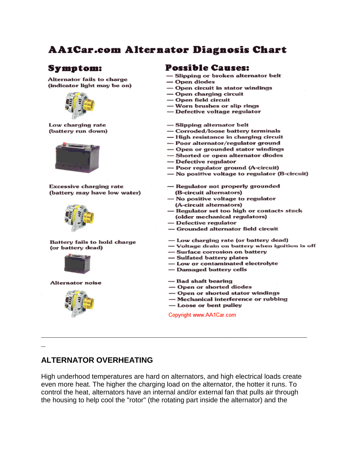# **AA1Car.com Alternator Diagnosis Chart**

#### Symptom:

Alternator fails to charge (indicator light may be on)



Low charging rate (battery run down)



**Excessive charging rate** (battery may have low water)



**Battery fails to hold charge** (or battery dead)



**Alternator noise** 



**\_**

#### **Possible Causes:**

- Slipping or broken alternator belt
- Open diodes
- Open circuit in stator windings
- Open charging circuit
- -Open field circuit
- -- Worn brushes or slip rings
- Defective voltage regulator
- -Slipping alternator belt
- Corroded/loose battery terminals
- High resistance in charging circuit
- Poor alternator/regulator ground
- Open or grounded stator windings
- -Shorted or open alternator diodes
- -Defective regulator
- --- Poor regulator ground (A-circuit)
- No positive voltage to regulator (B-circuit)
- Regulator not properly grounded (B-circuit alternators)
- No positive voltage to regulator (A-circuit alternators)
- Regulator set too high or contacts stuck
- (older mechanical regulators)
- Defective regulator
- Grounded alternator field circuit
- Low charging rate (or battery dead)
- Voltage drain on battery when ignition is off
- -Surface corrosion on battery
- -Sulfated battery plates
- Low or contaminated electrolyte
- Damaged battery cells
- Bad shaft bearing
- Open or shorted diodes
- Open or shorted stator windings
- Mechanical interference or rubbing
- Loose or bent pulley

Copyright www.AA1Car.com

#### **ALTERNATOR OVERHEATING**

High underhood temperatures are hard on alternators, and high electrical loads create even more heat. The higher the charging load on the alternator, the hotter it runs. To control the heat, alternators have an internal and/or external fan that pulls air through the housing to help cool the "rotor" (the rotating part inside the alternator) and the

**\_\_\_\_\_\_\_\_\_\_\_\_\_\_\_\_\_\_\_\_\_\_\_\_\_\_\_\_\_\_\_\_\_\_\_\_\_\_\_\_\_\_\_\_\_\_\_\_\_\_\_\_\_\_\_\_\_\_\_\_\_\_**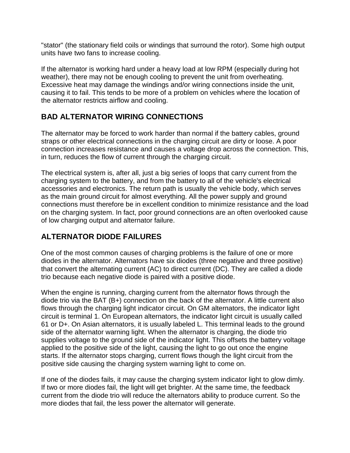"stator" (the stationary field coils or windings that surround the rotor). Some high output units have two fans to increase cooling.

If the alternator is working hard under a heavy load at low RPM (especially during hot weather), there may not be enough cooling to prevent the unit from overheating. Excessive heat may damage the windings and/or wiring connections inside the unit, causing it to fail. This tends to be more of a problem on vehicles where the location of the alternator restricts airflow and cooling.

## **BAD ALTERNATOR WIRING CONNECTIONS**

The alternator may be forced to work harder than normal if the battery cables, ground straps or other electrical connections in the charging circuit are dirty or loose. A poor connection increases resistance and causes a voltage drop across the connection. This, in turn, reduces the flow of current through the charging circuit.

The electrical system is, after all, just a big series of loops that carry current from the charging system to the battery, and from the battery to all of the vehicle's electrical accessories and electronics. The return path is usually the vehicle body, which serves as the main ground circuit for almost everything. All the power supply and ground connections must therefore be in excellent condition to minimize resistance and the load on the charging system. In fact, poor ground connections are an often overlooked cause of low charging output and alternator failure.

## **ALTERNATOR DIODE FAILURES**

One of the most common causes of charging problems is the failure of one or more diodes in the alternator. Alternators have six diodes (three negative and three positive) that convert the alternating current (AC) to direct current (DC). They are called a diode trio because each negative diode is paired with a positive diode.

When the engine is running, charging current from the alternator flows through the diode trio via the BAT (B+) connection on the back of the alternator. A little current also flows through the charging light indicator circuit. On GM alternators, the indicator light circuit is terminal 1. On European alternators, the indicator light circuit is usually called 61 or D+. On Asian alternators, it is usually labeled L. This terminal leads to the ground side of the alternator warning light. When the alternator is charging, the diode trio supplies voltage to the ground side of the indicator light. This offsets the battery voltage applied to the positive side of the light, causing the light to go out once the engine starts. If the alternator stops charging, current flows though the light circuit from the positive side causing the charging system warning light to come on.

If one of the diodes fails, it may cause the charging system indicator light to glow dimly. If two or more diodes fail, the light will get brighter. At the same time, the feedback current from the diode trio will reduce the alternators ability to produce current. So the more diodes that fail, the less power the alternator will generate.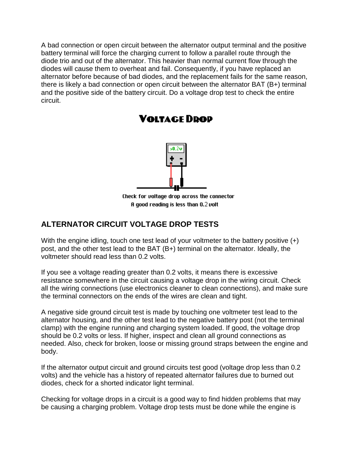A bad connection or open circuit between the alternator output terminal and the positive battery terminal will force the charging current to follow a parallel route through the diode trio and out of the alternator. This heavier than normal current flow through the diodes will cause them to overheat and fail. Consequently, if you have replaced an alternator before because of bad diodes, and the replacement fails for the same reason, there is likely a bad connection or open circuit between the alternator BAT (B+) terminal and the positive side of the battery circuit. Do a voltage drop test to check the entire circuit.



## **VOLTAGE DROP**

Check for voltage drop across the connector A good reading is less than 0.2 volt

## **ALTERNATOR CIRCUIT VOLTAGE DROP TESTS**

With the engine idling, touch one test lead of your voltmeter to the battery positive  $(+)$ post, and the other test lead to the BAT (B+) terminal on the alternator. Ideally, the voltmeter should read less than 0.2 volts.

If you see a voltage reading greater than 0.2 volts, it means there is excessive resistance somewhere in the circuit causing a voltage drop in the wiring circuit. Check all the wiring connections (use electronics cleaner to clean connections), and make sure the terminal connectors on the ends of the wires are clean and tight.

A negative side ground circuit test is made by touching one voltmeter test lead to the alternator housing, and the other test lead to the negative battery post (not the terminal clamp) with the engine running and charging system loaded. If good, the voltage drop should be 0.2 volts or less. If higher, inspect and clean all ground connections as needed. Also, check for broken, loose or missing ground straps between the engine and body.

If the alternator output circuit and ground circuits test good (voltage drop less than 0.2 volts) and the vehicle has a history of repeated alternator failures due to burned out diodes, check for a shorted indicator light terminal.

Checking for voltage drops in a circuit is a good way to find hidden problems that may be causing a charging problem. Voltage drop tests must be done while the engine is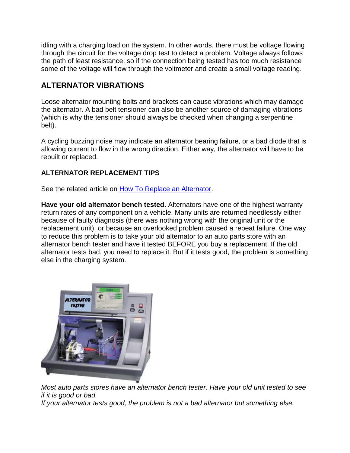idling with a charging load on the system. In other words, there must be voltage flowing through the circuit for the voltage drop test to detect a problem. Voltage always follows the path of least resistance, so if the connection being tested has too much resistance some of the voltage will flow through the voltmeter and create a small voltage reading.

## **ALTERNATOR VIBRATIONS**

Loose alternator mounting bolts and brackets can cause vibrations which may damage the alternator. A bad belt tensioner can also be another source of damaging vibrations (which is why the tensioner should always be checked when changing a serpentine belt).

A cycling buzzing noise may indicate an alternator bearing failure, or a bad diode that is allowing current to flow in the wrong direction. Either way, the alternator will have to be rebuilt or replaced.

#### **ALTERNATOR REPLACEMENT TIPS**

See the related article on [How To Replace an Alternator.](http://www.aa1car.com/library/how_to_replace_alternator.htm)

**Have your old alternator bench tested.** Alternators have one of the highest warranty return rates of any component on a vehicle. Many units are returned needlessly either because of faulty diagnosis (there was nothing wrong with the original unit or the replacement unit), or because an overlooked problem caused a repeat failure. One way to reduce this problem is to take your old alternator to an auto parts store with an alternator bench tester and have it tested BEFORE you buy a replacement. If the old alternator tests bad, you need to replace it. But if it tests good, the problem is something else in the charging system.



*Most auto parts stores have an alternator bench tester. Have your old unit tested to see if it is good or bad.* 

*If your alternator tests good, the problem is not a bad alternator but something else.*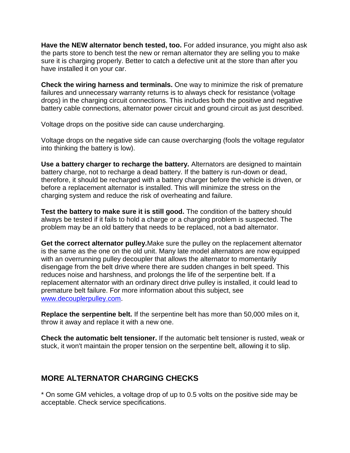**Have the NEW alternator bench tested, too.** For added insurance, you might also ask the parts store to bench test the new or reman alternator they are selling you to make sure it is charging properly. Better to catch a defective unit at the store than after you have installed it on your car.

**Check the wiring harness and terminals.** One way to minimize the risk of premature failures and unnecessary warranty returns is to always check for resistance (voltage drops) in the charging circuit connections. This includes both the positive and negative battery cable connections, alternator power circuit and ground circuit as just described.

Voltage drops on the positive side can cause undercharging.

Voltage drops on the negative side can cause overcharging (fools the voltage regulator into thinking the battery is low).

**Use a battery charger to recharge the battery.** Alternators are designed to maintain battery charge, not to recharge a dead battery. If the battery is run-down or dead, therefore, it should be recharged with a battery charger before the vehicle is driven, or before a replacement alternator is installed. This will minimize the stress on the charging system and reduce the risk of overheating and failure.

**Test the battery to make sure it is still good.** The condition of the battery should always be tested if it fails to hold a charge or a charging problem is suspected. The problem may be an old battery that needs to be replaced, not a bad alternator.

**Get the correct alternator pulley.**Make sure the pulley on the replacement alternator is the same as the one on the old unit. Many late model alternators are now equipped with an overrunning pulley decoupler that allows the alternator to momentarily disengage from the belt drive where there are sudden changes in belt speed. This reduces noise and harshness, and prolongs the life of the serpentine belt. If a replacement alternator with an ordinary direct drive pulley is installed, it could lead to premature belt failure. For more information about this subject, see [www.decouplerpulley.com.](http://www.decouplerpulley.com/)

**Replace the serpentine belt.** If the serpentine belt has more than 50,000 miles on it, throw it away and replace it with a new one.

**Check the automatic belt tensioner.** If the automatic belt tensioner is rusted, weak or stuck, it won't maintain the proper tension on the serpentine belt, allowing it to slip.

## **MORE ALTERNATOR CHARGING CHECKS**

\* On some GM vehicles, a voltage drop of up to 0.5 volts on the positive side may be acceptable. Check service specifications.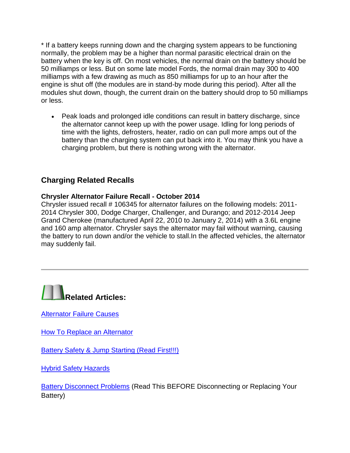\* If a battery keeps running down and the charging system appears to be functioning normally, the problem may be a higher than normal parasitic electrical drain on the battery when the key is off. On most vehicles, the normal drain on the battery should be 50 milliamps or less. But on some late model Fords, the normal drain may 300 to 400 milliamps with a few drawing as much as 850 milliamps for up to an hour after the engine is shut off (the modules are in stand-by mode during this period). After all the modules shut down, though, the current drain on the battery should drop to 50 milliamps or less.

• Peak loads and prolonged idle conditions can result in battery discharge, since the alternator cannot keep up with the power usage. Idling for long periods of time with the lights, defrosters, heater, radio on can pull more amps out of the battery than the charging system can put back into it. You may think you have a charging problem, but there is nothing wrong with the alternator.

## **Charging Related Recalls**

#### **Chrysler Alternator Failure Recall - October 2014**

Chrysler issued recall # 106345 for alternator failures on the following models: 2011- 2014 Chrysler 300, Dodge Charger, Challenger, and Durango; and 2012-2014 Jeep Grand Cherokee (manufactured April 22, 2010 to January 2, 2014) with a 3.6L engine and 160 amp alternator. Chrysler says the alternator may fail without warning, causing the battery to run down and/or the vehicle to stall.In the affected vehicles, the alternator may suddenly fail.



[Alternator Failure Causes](http://www.aa1car.com/library/alternator_failure_causes.htm)

**[How To Replace an Alternator](http://www.aa1car.com/library/how_to_replace_alternator.htm)** 

[Battery Safety & Jump Starting \(Read First!!!\)](http://www.aa1car.com/library/battery_safety.htm)

[Hybrid Safety Hazards](http://www.aa1car.com/library/hybrid_hazards.htm)

[Battery Disconnect Problems](http://www.aa1car.com/library/battery_disconnect_problems.htm) (Read This BEFORE Disconnecting or Replacing Your Battery)